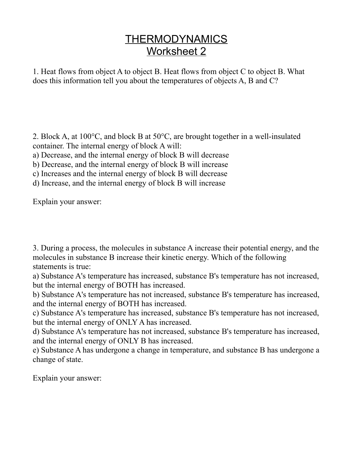## **THERMODYNAMICS** Worksheet 2

1. Heat flows from object A to object B. Heat flows from object C to object B. What does this information tell you about the temperatures of objects A, B and C?

2. Block A, at 100°C, and block B at 50°C, are brought together in a well-insulated container. The internal energy of block A will:

a) Decrease, and the internal energy of block B will decrease

b) Decrease, and the internal energy of block B will increase

c) Increases and the internal energy of block B will decrease

d) Increase, and the internal energy of block B will increase

Explain your answer:

3. During a process, the molecules in substance A increase their potential energy, and the molecules in substance B increase their kinetic energy. Which of the following statements is true:

a) Substance A's temperature has increased, substance B's temperature has not increased, but the internal energy of BOTH has increased.

b) Substance A's temperature has not increased, substance B's temperature has increased, and the internal energy of BOTH has increased.

c) Substance A's temperature has increased, substance B's temperature has not increased, but the internal energy of ONLY A has increased.

d) Substance A's temperature has not increased, substance B's temperature has increased, and the internal energy of ONLY B has increased.

e) Substance A has undergone a change in temperature, and substance B has undergone a change of state.

Explain your answer: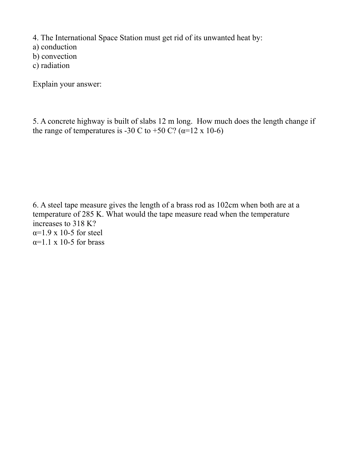4. The International Space Station must get rid of its unwanted heat by:

a) conduction

b) convection

c) radiation

Explain your answer:

5. A concrete highway is built of slabs 12 m long. How much does the length change if the range of temperatures is -30 C to +50 C? ( $\alpha$ =12 x 10-6)

6. A steel tape measure gives the length of a brass rod as 102cm when both are at a temperature of 285 K. What would the tape measure read when the temperature increases to 318 K?  $\alpha$ =1.9 x 10-5 for steel  $\alpha$ =1.1 x 10-5 for brass